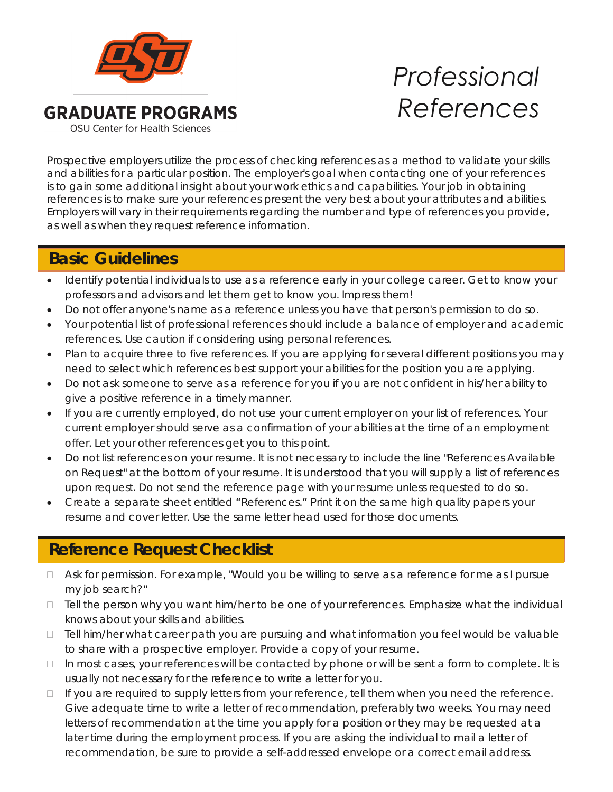

# *Professional References*

Prospective employers utilize the process of checking references as a method to validate your skills and abilities for a particular position. The employer's goal when contacting one of your references is to gain some additional insight about your work ethics and capabilities. Your job in obtaining references is to make sure your references present the very best about your attributes and abilities. Employers will vary in their requirements regarding the number and type of references you provide, as well as when they request reference information.

## **Basic Guidelines Basic Guidelines**

- Identify potential individuals to use as a reference early in your college career. Get to know your professors and advisors and let them get to know you. Impress them!
- Do not offer anyone's name as a reference unless you have that person's permission to do so.
- Your potential list of professional references should include a balance of employer and academic references. Use caution if considering using personal references.
- Plan to acquire three to five references. If you are applying for several different positions you may need to select which references best support your abilities for the position you are applying.
- Do not ask someone to serve as a reference for you if you are not confident in his/her ability to give a positive reference in a timely manner.
- If you are currently employed, do not use your current employer on your list of references. Your current employer should serve as a confirmation of your abilities at the time of an employment offer. Let your other references get you to this point.
- Do not list references on your resume. It is not necessary to include the line "References Available on Request" at the bottom of your resume. It is understood that you will supply a list of references upon request. Do not send the reference page with your resume unless requested to do so.
- Create a separate sheet entitled "References." Print it on the same high quality papers your resume and cover letter. Use the same letter head used for those documents.

# **Checklist For Assembly Someone to Serve as a Reference Request Checklist**

- □ Ask for permission. For example, "Would you be willing to serve as a reference for me as I pursue my job search?"
- $\Box$  Tell the person why you want him/her to be one of your references. Emphasize what the individual knows about your skills and abilities.
- □ Tell him/her what career path you are pursuing and what information you feel would be valuable to share with a prospective employer. Provide a copy of your resume.
- $\Box$  In most cases, your references will be contacted by phone or will be sent a form to complete. It is usually not necessary for the reference to write a letter for you.
- $\Box$  If you are required to supply letters from your reference, tell them when you need the reference. Give adequate time to write a letter of recommendation, preferably two weeks. You may need letters of recommendation at the time you apply for a position or they may be requested at a later time during the employment process. If you are asking the individual to mail a letter of recommendation, be sure to provide a self-addressed envelope or a correct email address.